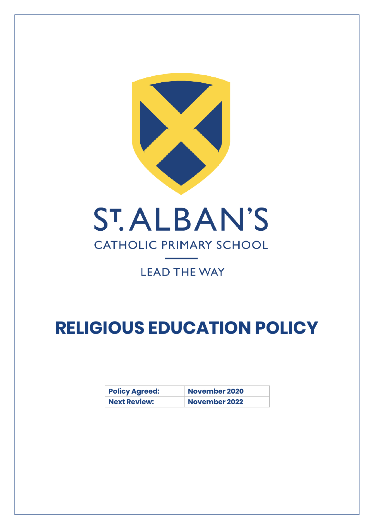

# **CATHOLIC PRIMARY SCHOOL**

## **LEAD THE WAY**

# **RELIGIOUS EDUCATION POLICY**

| <b>Policy Agreed:</b> | <b>November 2020</b> |
|-----------------------|----------------------|
| <b>Next Review:</b>   | <b>November 2022</b> |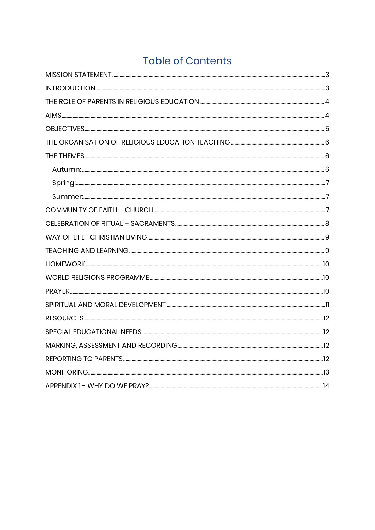## **Table of Contents**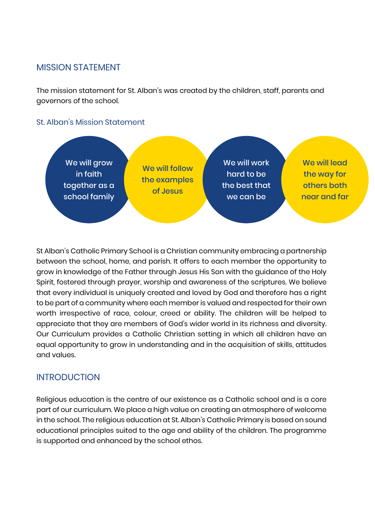#### <span id="page-2-0"></span>MISSION STATEMENT

The mission statement for St. Alban's was created by the children, staff, parents and governors of the school.

#### St. Alban's Mission Statement



St Alban's Catholic Primary School is a Christian community embracing a partnership between the school, home, and parish. It offers to each member the opportunity to grow in knowledge of the Father through Jesus His Son with the guidance of the Holy Spirit, fostered through prayer, worship and awareness of the scriptures. We believe that every individual is uniquely created and loved by God and therefore has a right to be part of a community where each member is valued and respected for their own worth irrespective of race, colour, creed or ability. The children will be helped to appreciate that they are members of God's wider world in its richness and diversity. Our Curriculum provides a Catholic Christian setting in which all children have an equal opportunity to grow in understanding and in the acquisition of skills, attitudes and values.

## <span id="page-2-1"></span>INTRODUCTION

Religious education is the centre of our existence as a Catholic school and is a core part of our curriculum. We place a high value on creating an atmosphere of welcome in the school. The religious education at St. Alban's Catholic Primary is based on sound educational principles suited to the age and ability of the children. The programme is supported and enhanced by the school ethos.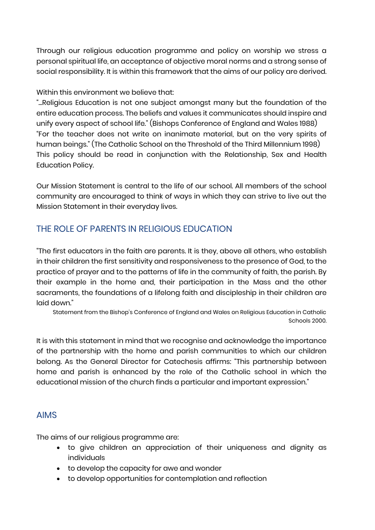Through our religious education programme and policy on worship we stress a personal spiritual life, an acceptance of objective moral norms and a strong sense of social responsibility. It is within this framework that the aims of our policy are derived.

#### Within this environment we believe that:

"...Religious Education is not one subject amongst many but the foundation of the entire education process. The beliefs and values it communicates should inspire and unify every aspect of school life." (Bishops Conference of England and Wales 1988) "For the teacher does not write on inanimate material, but on the very spirits of human beings." (The Catholic School on the Threshold of the Third Millennium 1998) This policy should be read in conjunction with the Relationship, Sex and Health Education Policy.

Our Mission Statement is central to the life of our school. All members of the school community are encouraged to think of ways in which they can strive to live out the Mission Statement in their everyday lives.

## <span id="page-3-0"></span>THE ROLE OF PARENTS IN RELIGIOUS EDUCATION

"The first educators in the faith are parents. It is they, above all others, who establish in their children the first sensitivity and responsiveness to the presence of God, to the practice of prayer and to the patterns of life in the community of faith, the parish. By their example in the home and, their participation in the Mass and the other sacraments, the foundations of a lifelong faith and discipleship in their children are laid down."

Statement from the Bishop's Conference of England and Wales on Religious Education in Catholic Schools 2000.

It is with this statement in mind that we recognise and acknowledge the importance of the partnership with the home and parish communities to which our children belong. As the General Director for Catechesis affirms: "This partnership between home and parish is enhanced by the role of the Catholic school in which the educational mission of the church finds a particular and important expression."

#### <span id="page-3-1"></span>AIMS

The aims of our religious programme are:

- to give children an appreciation of their uniqueness and dignity as individuals
- to develop the capacity for awe and wonder
- to develop opportunities for contemplation and reflection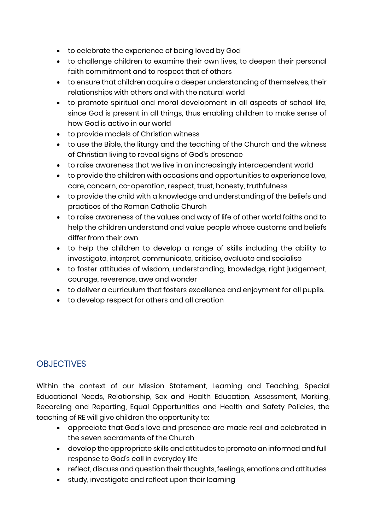- to celebrate the experience of being loved by God
- to challenge children to examine their own lives, to deepen their personal faith commitment and to respect that of others
- to ensure that children acquire a deeper understanding of themselves, their relationships with others and with the natural world
- to promote spiritual and moral development in all aspects of school life, since God is present in all things, thus enabling children to make sense of how God is active in our world
- to provide models of Christian witness
- to use the Bible, the liturgy and the teaching of the Church and the witness of Christian living to reveal signs of God's presence
- to raise awareness that we live in an increasingly interdependent world
- to provide the children with occasions and opportunities to experience love, care, concern, co-operation, respect, trust, honesty, truthfulness
- to provide the child with a knowledge and understanding of the beliefs and practices of the Roman Catholic Church
- to raise awareness of the values and way of life of other world faiths and to help the children understand and value people whose customs and beliefs differ from their own
- to help the children to develop a range of skills including the ability to investigate, interpret, communicate, criticise, evaluate and socialise
- to foster attitudes of wisdom, understanding, knowledge, right judgement, courage, reverence, awe and wonder
- to deliver a curriculum that fosters excellence and enjoyment for all pupils.
- to develop respect for others and all creation

## <span id="page-4-0"></span>**OBJECTIVES**

Within the context of our Mission Statement, Learning and Teaching, Special Educational Needs, Relationship, Sex and Health Education, Assessment, Marking, Recording and Reporting, Equal Opportunities and Health and Safety Policies, the teaching of RE will give children the opportunity to:

- appreciate that God's love and presence are made real and celebrated in the seven sacraments of the Church
- develop the appropriate skills and attitudes to promote an informed and full response to God's call in everyday life
- reflect, discuss and question their thoughts, feelings, emotions and attitudes
- study, investigate and reflect upon their learning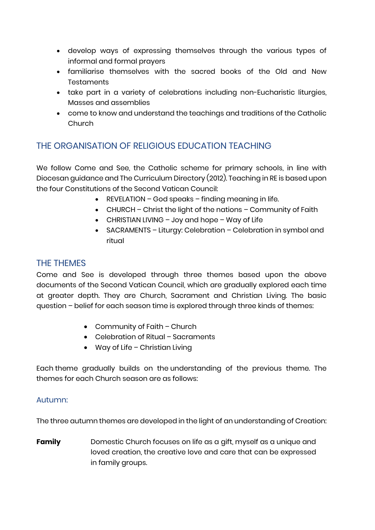- develop ways of expressing themselves through the various types of informal and formal prayers
- familiarise themselves with the sacred books of the Old and New **Testaments**
- take part in a variety of celebrations including non-Eucharistic liturgies, Masses and assemblies
- come to know and understand the teachings and traditions of the Catholic Church

## <span id="page-5-0"></span>THE ORGANISATION OF RELIGIOUS EDUCATION TEACHING

We follow Come and See, the Catholic scheme for primary schools, in line with Diocesan guidance and The Curriculum Directory (2012). Teaching in RE is based upon the four Constitutions of the Second Vatican Council:

- REVELATION God speaks finding meaning in life.
- CHURCH Christ the light of the nations Community of Faith
- CHRISTIAN LIVING Joy and hope Way of Life
- SACRAMENTS Liturgy: Celebration Celebration in symbol and ritual

#### <span id="page-5-1"></span>THE THEMES

Come and See is developed through three themes based upon the above documents of the Second Vatican Council, which are gradually explored each time at greater depth. They are Church, Sacrament and Christian Living. The basic question – belief for each season time is explored through three kinds of themes:

- Community of Faith Church
- Celebration of Ritual Sacraments
- Way of Life Christian Living

Each theme gradually builds on the understanding of the previous theme. The themes for each Church season are as follows:

#### <span id="page-5-2"></span>Autumn:

The three autumn themes are developed in the light of an understanding of Creation:

**Family** Domestic Church focuses on life as a gift, myself as a unique and loved creation, the creative love and care that can be expressed in family groups.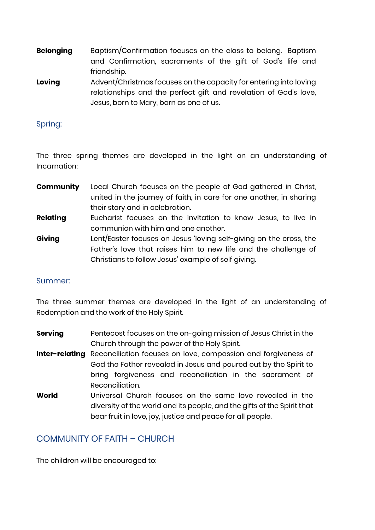- **Belonging** Baptism/Confirmation focuses on the class to belong. Baptism and Confirmation, sacraments of the gift of God's life and friendship.
- **Loving** Advent/Christmas focuses on the capacity for entering into loving relationships and the perfect gift and revelation of God's love, Jesus, born to Mary, born as one of us.

#### <span id="page-6-0"></span>Spring:

The three spring themes are developed in the light on an understanding of Incarnation:

- **Community** Local Church focuses on the people of God gathered in Christ, united in the journey of faith, in care for one another, in sharing their story and in celebration.
- **Relating** Eucharist focuses on the invitation to know Jesus, to live in communion with him and one another.
- **Giving** Lent/Easter focuses on Jesus 'loving self-giving on the cross, the Father's love that raises him to new life and the challenge of Christians to follow Jesus' example of self giving.

#### <span id="page-6-1"></span>Summer:

The three summer themes are developed in the light of an understanding of Redemption and the work of the Holy Spirit.

- **Serving** Pentecost focuses on the on-going mission of Jesus Christ in the Church through the power of the Holy Spirit.
- **Inter-relating** Reconciliation focuses on love, compassion and forgiveness of God the Father revealed in Jesus and poured out by the Spirit to bring forgiveness and reconciliation in the sacrament of Reconciliation.
- **World** Universal Church focuses on the same love revealed in the diversity of the world and its people, and the gifts of the Spirit that bear fruit in love, joy, justice and peace for all people.

## <span id="page-6-2"></span>COMMUNITY OF FAITH – CHURCH

The children will be encouraged to: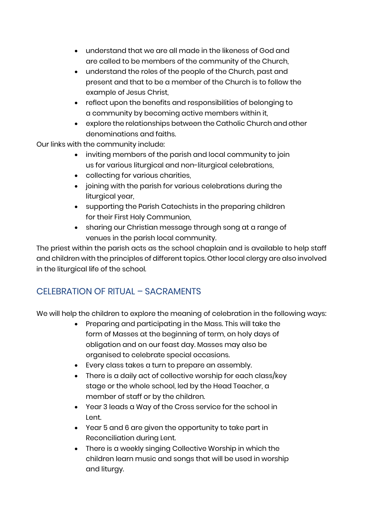- understand that we are all made in the likeness of God and are called to be members of the community of the Church,
- understand the roles of the people of the Church, past and present and that to be a member of the Church is to follow the example of Jesus Christ,
- reflect upon the benefits and responsibilities of belonging to a community by becoming active members within it,
- explore the relationships between the Catholic Church and other denominations and faiths.

Our links with the community include:

- inviting members of the parish and local community to join us for various liturgical and non-liturgical celebrations,
- collecting for various charities,
- joining with the parish for various celebrations during the liturgical year,
- supporting the Parish Catechists in the preparing children for their First Holy Communion,
- sharing our Christian message through song at a range of venues in the parish local community.

The priest within the parish acts as the school chaplain and is available to help staff and children with the principles of different topics. Other local clergy are also involved in the liturgical life of the school.

## <span id="page-7-0"></span>CFI FBRATION OF RITUAL – SACRAMENTS

We will help the children to explore the meaning of celebration in the following ways:

- Preparing and participating in the Mass. This will take the form of Masses at the beginning of term, on holy days of obligation and on our feast day. Masses may also be organised to celebrate special occasions.
- Every class takes a turn to prepare an assembly.
- There is a daily act of collective worship for each class/key stage or the whole school, led by the Head Teacher, a member of staff or by the children.
- Year 3 leads a Way of the Cross service for the school in Lent.
- Year 5 and 6 are given the opportunity to take part in Reconciliation during Lent.
- There is a weekly singing Collective Worship in which the children learn music and songs that will be used in worship and liturgy.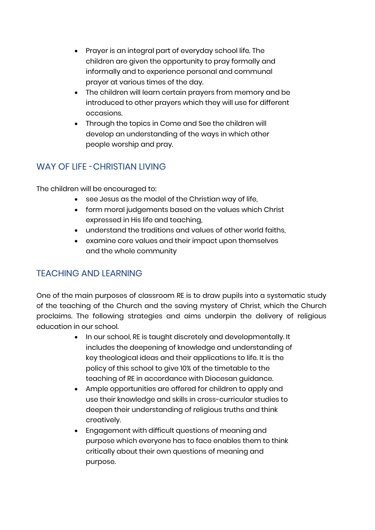- Prayer is an integral part of everyday school life. The children are given the opportunity to pray formally and informally and to experience personal and communal prayer at various times of the day.
- The children will learn certain prayers from memory and be introduced to other prayers which they will use for different occasions.
- Through the topics in Come and See the children will develop an understanding of the ways in which other people worship and pray.

## <span id="page-8-0"></span>WAY OF LIFE – CHRISTIAN LIVING

The children will be encouraged to:

- see Jesus as the model of the Christian way of life,
- form moral judgements based on the values which Christ expressed in His life and teaching,
- understand the traditions and values of other world faiths,
- examine core values and their impact upon themselves and the whole community

## <span id="page-8-1"></span>TEACHING AND LEARNING

One of the main purposes of classroom RE is to draw pupils into a systematic study of the teaching of the Church and the saving mystery of Christ, which the Church proclaims. The following strategies and aims underpin the delivery of religious education in our school.

- In our school, RE is taught discretely and developmentally. It includes the deepening of knowledge and understanding of key theological ideas and their applications to life. It is the policy of this school to give 10% of the timetable to the teaching of RE in accordance with Diocesan guidance.
- Ample opportunities are offered for children to apply and use their knowledge and skills in cross-curricular studies to deepen their understanding of religious truths and think creatively.
- Engagement with difficult questions of meaning and purpose which everyone has to face enables them to think critically about their own questions of meaning and purpose.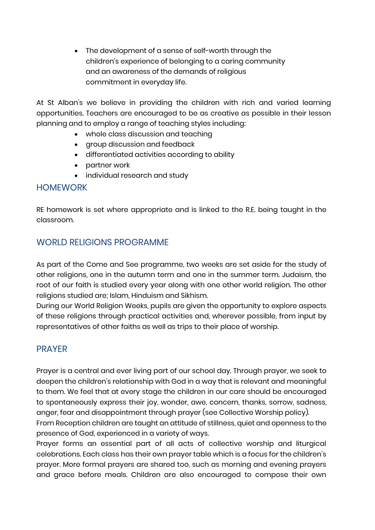• The development of a sense of self-worth through the children's experience of belonging to a caring community and an awareness of the demands of religious commitment in everyday life.

At St Alban's we believe in providing the children with rich and varied learning opportunities. Teachers are encouraged to be as creative as possible in their lesson planning and to employ a range of teaching styles including:

- whole class discussion and teaching
- group discussion and feedback
- differentiated activities according to ability
- partner work
- individual research and study

#### <span id="page-9-0"></span>HOMEWORK

RE homework is set where appropriate and is linked to the R.E. being taught in the classroom.

## <span id="page-9-1"></span>WORLD RELIGIONS PROGRAMME

As part of the Come and See programme, two weeks are set aside for the study of other religions, one in the autumn term and one in the summer term. Judaism, the root of our faith is studied every year along with one other world religion. The other religions studied are; Islam, Hinduism and Sikhism.

During our World Religion Weeks, pupils are given the opportunity to explore aspects of these religions through practical activities and, wherever possible, from input by representatives of other faiths as well as trips to their place of worship.

#### <span id="page-9-2"></span>PRAYER

Prayer is a central and ever living part of our school day. Through prayer, we seek to deepen the children's relationship with God in a way that is relevant and meaningful to them. We feel that at every stage the children in our care should be encouraged to spontaneously express their joy, wonder, awe, concern, thanks, sorrow, sadness, anger, fear and disappointment through prayer (see Collective Worship policy).

From Reception children are taught an attitude of stillness, quiet and openness to the presence of God, experienced in a variety of ways.

Prayer forms an essential part of all acts of collective worship and liturgical celebrations. Each class has their own prayer table which is a focus for the children's prayer. More formal prayers are shared too, such as morning and evening prayers and grace before meals. Children are also encouraged to compose their own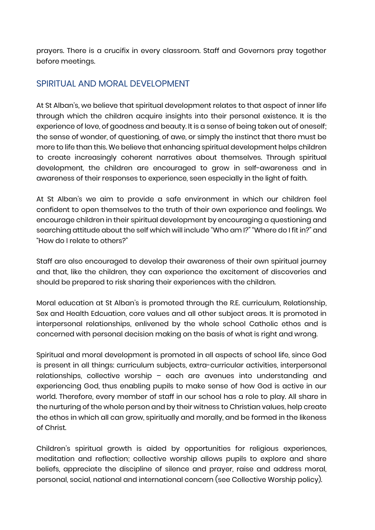prayers. There is a crucifix in every classroom. Staff and Governors pray together before meetings.

## <span id="page-10-0"></span>SPIRITUAL AND MORAL DEVELOPMENT

At St Alban's, we believe that spiritual development relates to that aspect of inner life through which the children acquire insights into their personal existence. It is the experience of love, of goodness and beauty. It is a sense of being taken out of oneself; the sense of wonder, of questioning, of awe, or simply the instinct that there must be more to life than this. We believe that enhancing spiritual development helps children to create increasingly coherent narratives about themselves. Through spiritual development, the children are encouraged to grow in self-awareness and in awareness of their responses to experience, seen especially in the light of faith.

At St Alban's we aim to provide a safe environment in which our children feel confident to open themselves to the truth of their own experience and feelings. We encourage children in their spiritual development by encouraging a questioning and searching attitude about the self which will include "Who am I?" "Where do I fit in?" and "How do I relate to others?"

Staff are also encouraged to develop their awareness of their own spiritual journey and that, like the children, they can experience the excitement of discoveries and should be prepared to risk sharing their experiences with the children.

Moral education at St Alban's is promoted through the R.E. curriculum, Relationship, Sex and Health Edcuation, core values and all other subject areas. It is promoted in interpersonal relationships, enlivened by the whole school Catholic ethos and is concerned with personal decision making on the basis of what is right and wrong.

Spiritual and moral development is promoted in all aspects of school life, since God is present in all things: curriculum subjects, extra-curricular activities, interpersonal relationships, collective worship – each are avenues into understanding and experiencing God, thus enabling pupils to make sense of how God is active in our world. Therefore, every member of staff in our school has a role to play. All share in the nurturing of the whole person and by their witness to Christian values, help create the ethos in which all can grow, spiritually and morally, and be formed in the likeness of Christ.

Children's spiritual growth is aided by opportunities for religious experiences, meditation and reflection; collective worship allows pupils to explore and share beliefs, appreciate the discipline of silence and prayer, raise and address moral, personal, social, national and international concern (see Collective Worship policy).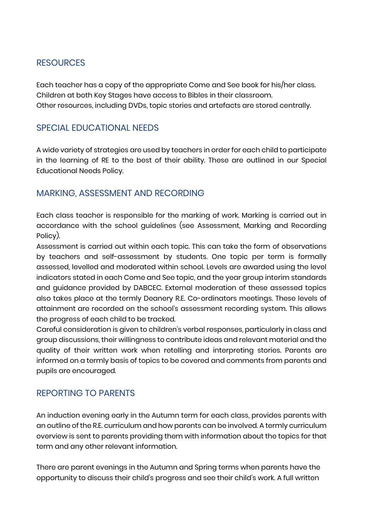## <span id="page-11-0"></span>**RESOURCES**

Each teacher has a copy of the appropriate Come and See book for his/her class. Children at both Key Stages have access to Bibles in their classroom. Other resources, including DVDs, topic stories and artefacts are stored centrally.

## <span id="page-11-1"></span>SPECIAL EDUCATIONAL NEEDS

A wide variety of strategies are used by teachers in order for each child to participate in the learning of RE to the best of their ability. These are outlined in our Special Educational Needs Policy.

## <span id="page-11-2"></span>MARKING, ASSESSMENT AND RECORDING

Each class teacher is responsible for the marking of work. Marking is carried out in accordance with the school guidelines (see Assessment, Marking and Recording Policy).

Assessment is carried out within each topic. This can take the form of observations by teachers and self-assessment by students. One topic per term is formally assessed, levelled and moderated within school. Levels are awarded using the level indicators stated in each Come and See topic, and the year group interim standards and guidance provided by DABCEC. External moderation of these assessed topics also takes place at the termly Deanery R.E. Co-ordinators meetings. These levels of attainment are recorded on the school's assessment recording system. This allows the progress of each child to be tracked.

Careful consideration is given to children's verbal responses, particularly in class and group discussions, their willingness to contribute ideas and relevant material and the quality of their written work when retelling and interpreting stories. Parents are informed on a termly basis of topics to be covered and comments from parents and pupils are encouraged.

## <span id="page-11-3"></span>REPORTING TO PARENTS

An induction evening early in the Autumn term for each class, provides parents with an outline of the R.E. curriculum and how parents can be involved. A termly curriculum overview is sent to parents providing them with information about the topics for that term and any other relevant information.

There are parent evenings in the Autumn and Spring terms when parents have the opportunity to discuss their child's progress and see their child's work. A full written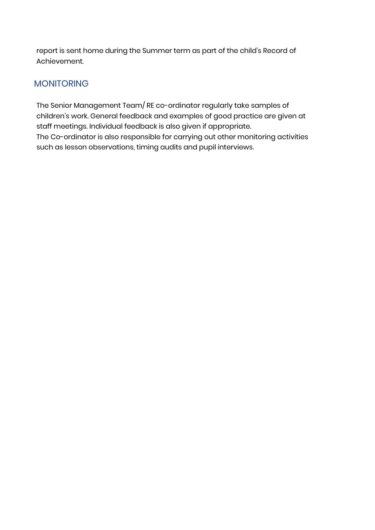report is sent home during the Summer term as part of the child's Record of Achievement.

## <span id="page-12-0"></span>MONITORING

The Senior Management Team/ RE co-ordinator regularly take samples of children's work. General feedback and examples of good practice are given at staff meetings. Individual feedback is also given if appropriate. The Co-ordinator is also responsible for carrying out other monitoring activities such as lesson observations, timing audits and pupil interviews.